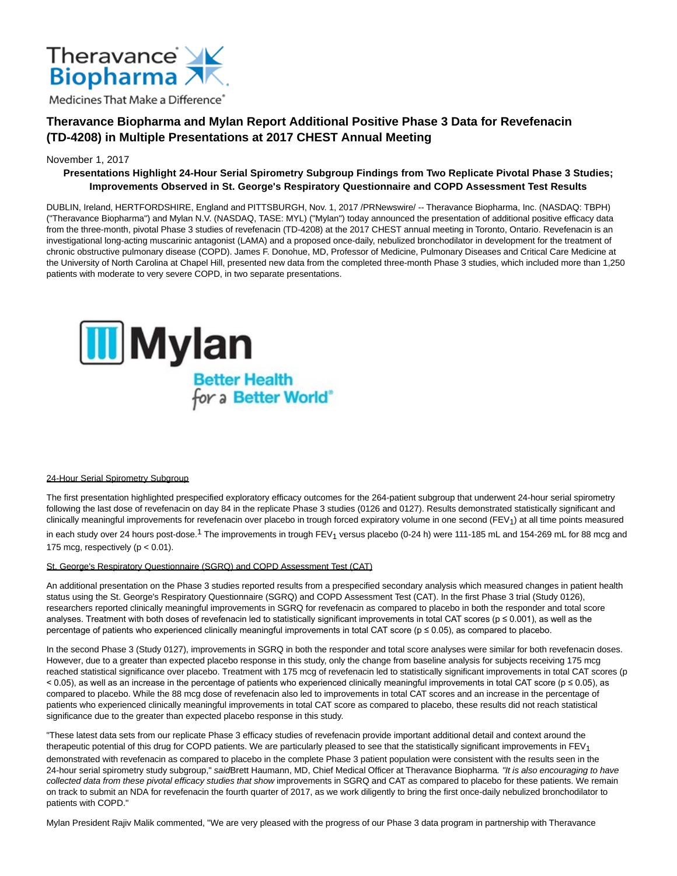

# **Theravance Biopharma and Mylan Report Additional Positive Phase 3 Data for Revefenacin (TD-4208) in Multiple Presentations at 2017 CHEST Annual Meeting**

# November 1, 2017

# **Presentations Highlight 24-Hour Serial Spirometry Subgroup Findings from Two Replicate Pivotal Phase 3 Studies; Improvements Observed in St. George's Respiratory Questionnaire and COPD Assessment Test Results**

DUBLIN, Ireland, HERTFORDSHIRE, England and PITTSBURGH, Nov. 1, 2017 /PRNewswire/ -- Theravance Biopharma, Inc. (NASDAQ: TBPH) ("Theravance Biopharma") and Mylan N.V. (NASDAQ, TASE: MYL) ("Mylan") today announced the presentation of additional positive efficacy data from the three-month, pivotal Phase 3 studies of revefenacin (TD-4208) at the 2017 CHEST annual meeting in Toronto, Ontario. Revefenacin is an investigational long-acting muscarinic antagonist (LAMA) and a proposed once-daily, nebulized bronchodilator in development for the treatment of chronic obstructive pulmonary disease (COPD). James F. Donohue, MD, Professor of Medicine, Pulmonary Diseases and Critical Care Medicine at the University of North Carolina at Chapel Hill, presented new data from the completed three-month Phase 3 studies, which included more than 1,250 patients with moderate to very severe COPD, in two separate presentations.



# 24-Hour Serial Spirometry Subgroup

The first presentation highlighted prespecified exploratory efficacy outcomes for the 264-patient subgroup that underwent 24-hour serial spirometry following the last dose of revefenacin on day 84 in the replicate Phase 3 studies (0126 and 0127). Results demonstrated statistically significant and clinically meaningful improvements for revefenacin over placebo in trough forced expiratory volume in one second (FEV<sub>1</sub>) at all time points measured

in each study over 24 hours post-dose.<sup>1</sup> The improvements in trough FEV<sub>1</sub> versus placebo (0-24 h) were 111-185 mL and 154-269 mL for 88 mcg and 175 mcg, respectively ( $p < 0.01$ ).

# St. George's Respiratory Questionnaire (SGRQ) and COPD Assessment Test (CAT)

An additional presentation on the Phase 3 studies reported results from a prespecified secondary analysis which measured changes in patient health status using the St. George's Respiratory Questionnaire (SGRQ) and COPD Assessment Test (CAT). In the first Phase 3 trial (Study 0126), researchers reported clinically meaningful improvements in SGRQ for revefenacin as compared to placebo in both the responder and total score analyses. Treatment with both doses of revefenacin led to statistically significant improvements in total CAT scores ( $p \le 0.001$ ), as well as the percentage of patients who experienced clinically meaningful improvements in total CAT score (p ≤ 0.05), as compared to placebo.

In the second Phase 3 (Study 0127), improvements in SGRQ in both the responder and total score analyses were similar for both revefenacin doses. However, due to a greater than expected placebo response in this study, only the change from baseline analysis for subjects receiving 175 mcg reached statistical significance over placebo. Treatment with 175 mcg of revefenacin led to statistically significant improvements in total CAT scores (p < 0.05), as well as an increase in the percentage of patients who experienced clinically meaningful improvements in total CAT score (p ≤ 0.05), as compared to placebo. While the 88 mcg dose of revefenacin also led to improvements in total CAT scores and an increase in the percentage of patients who experienced clinically meaningful improvements in total CAT score as compared to placebo, these results did not reach statistical significance due to the greater than expected placebo response in this study.

"These latest data sets from our replicate Phase 3 efficacy studies of revefenacin provide important additional detail and context around the therapeutic potential of this drug for COPD patients. We are particularly pleased to see that the statistically significant improvements in  $FEV<sub>1</sub>$ 

demonstrated with revefenacin as compared to placebo in the complete Phase 3 patient population were consistent with the results seen in the 24-hour serial spirometry study subgroup," saidBrett Haumann, MD, Chief Medical Officer at Theravance Biopharma. "It is also encouraging to have collected data from these pivotal efficacy studies that show improvements in SGRQ and CAT as compared to placebo for these patients. We remain on track to submit an NDA for revefenacin the fourth quarter of 2017, as we work diligently to bring the first once-daily nebulized bronchodilator to patients with COPD."

Mylan President Rajiv Malik commented, "We are very pleased with the progress of our Phase 3 data program in partnership with Theravance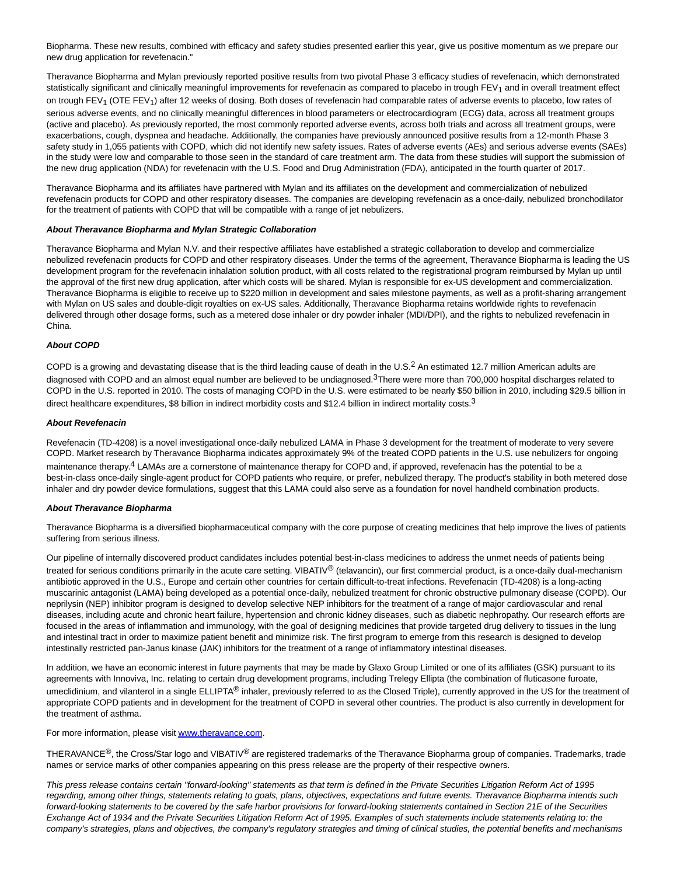Biopharma. These new results, combined with efficacy and safety studies presented earlier this year, give us positive momentum as we prepare our new drug application for revefenacin."

Theravance Biopharma and Mylan previously reported positive results from two pivotal Phase 3 efficacy studies of revefenacin, which demonstrated statistically significant and clinically meaningful improvements for revefenacin as compared to placebo in trough FEV<sub>1</sub> and in overall treatment effect on trough FEV<sub>1</sub> (OTE FEV<sub>1</sub>) after 12 weeks of dosing. Both doses of revefenacin had comparable rates of adverse events to placebo, low rates of serious adverse events, and no clinically meaningful differences in blood parameters or electrocardiogram (ECG) data, across all treatment groups (active and placebo). As previously reported, the most commonly reported adverse events, across both trials and across all treatment groups, were exacerbations, cough, dyspnea and headache. Additionally, the companies have previously announced positive results from a 12-month Phase 3 safety study in 1,055 patients with COPD, which did not identify new safety issues. Rates of adverse events (AEs) and serious adverse events (SAEs) in the study were low and comparable to those seen in the standard of care treatment arm. The data from these studies will support the submission of the new drug application (NDA) for revefenacin with the U.S. Food and Drug Administration (FDA), anticipated in the fourth quarter of 2017.

Theravance Biopharma and its affiliates have partnered with Mylan and its affiliates on the development and commercialization of nebulized revefenacin products for COPD and other respiratory diseases. The companies are developing revefenacin as a once-daily, nebulized bronchodilator for the treatment of patients with COPD that will be compatible with a range of jet nebulizers.

#### **About Theravance Biopharma and Mylan Strategic Collaboration**

Theravance Biopharma and Mylan N.V. and their respective affiliates have established a strategic collaboration to develop and commercialize nebulized revefenacin products for COPD and other respiratory diseases. Under the terms of the agreement, Theravance Biopharma is leading the US development program for the revefenacin inhalation solution product, with all costs related to the registrational program reimbursed by Mylan up until the approval of the first new drug application, after which costs will be shared. Mylan is responsible for ex-US development and commercialization. Theravance Biopharma is eligible to receive up to \$220 million in development and sales milestone payments, as well as a profit-sharing arrangement with Mylan on US sales and double-digit royalties on ex-US sales. Additionally, Theravance Biopharma retains worldwide rights to revefenacin delivered through other dosage forms, such as a metered dose inhaler or dry powder inhaler (MDI/DPI), and the rights to nebulized revefenacin in China.

# **About COPD**

COPD is a growing and devastating disease that is the third leading cause of death in the U.S.2 An estimated 12.7 million American adults are diagnosed with COPD and an almost equal number are believed to be undiagnosed.<sup>3</sup>There were more than 700,000 hospital discharges related to COPD in the U.S. reported in 2010. The costs of managing COPD in the U.S. were estimated to be nearly \$50 billion in 2010, including \$29.5 billion in direct healthcare expenditures, \$8 billion in indirect morbidity costs and \$12.4 billion in indirect mortality costs.<sup>3</sup>

#### **About Revefenacin**

Revefenacin (TD-4208) is a novel investigational once-daily nebulized LAMA in Phase 3 development for the treatment of moderate to very severe COPD. Market research by Theravance Biopharma indicates approximately 9% of the treated COPD patients in the U.S. use nebulizers for ongoing maintenance therapy.<sup>4</sup> LAMAs are a cornerstone of maintenance therapy for COPD and, if approved, revefenacin has the potential to be a best-in-class once-daily single-agent product for COPD patients who require, or prefer, nebulized therapy. The product's stability in both metered dose inhaler and dry powder device formulations, suggest that this LAMA could also serve as a foundation for novel handheld combination products.

#### **About Theravance Biopharma**

Theravance Biopharma is a diversified biopharmaceutical company with the core purpose of creating medicines that help improve the lives of patients suffering from serious illness.

Our pipeline of internally discovered product candidates includes potential best-in-class medicines to address the unmet needs of patients being treated for serious conditions primarily in the acute care setting. VIBATIV<sup>®</sup> (telavancin), our first commercial product, is a once-daily dual-mechanism antibiotic approved in the U.S., Europe and certain other countries for certain difficult-to-treat infections. Revefenacin (TD-4208) is a long-acting muscarinic antagonist (LAMA) being developed as a potential once-daily, nebulized treatment for chronic obstructive pulmonary disease (COPD). Our neprilysin (NEP) inhibitor program is designed to develop selective NEP inhibitors for the treatment of a range of major cardiovascular and renal diseases, including acute and chronic heart failure, hypertension and chronic kidney diseases, such as diabetic nephropathy. Our research efforts are focused in the areas of inflammation and immunology, with the goal of designing medicines that provide targeted drug delivery to tissues in the lung and intestinal tract in order to maximize patient benefit and minimize risk. The first program to emerge from this research is designed to develop intestinally restricted pan-Janus kinase (JAK) inhibitors for the treatment of a range of inflammatory intestinal diseases.

In addition, we have an economic interest in future payments that may be made by Glaxo Group Limited or one of its affiliates (GSK) pursuant to its agreements with Innoviva, Inc. relating to certain drug development programs, including Trelegy Ellipta (the combination of fluticasone furoate, umeclidinium, and vilanterol in a single ELLIPTA<sup>®</sup> inhaler, previously referred to as the Closed Triple), currently approved in the US for the treatment of appropriate COPD patients and in development for the treatment of COPD in several other countries. The product is also currently in development for the treatment of asthma.

### For more information, please visi[t www.theravance.com.](http://www.theravance.com/)

THERAVANCE<sup>®</sup>, the Cross/Star logo and VIBATIV<sup>®</sup> are registered trademarks of the Theravance Biopharma group of companies. Trademarks, trade names or service marks of other companies appearing on this press release are the property of their respective owners.

This press release contains certain "forward-looking" statements as that term is defined in the Private Securities Litigation Reform Act of 1995 regarding, among other things, statements relating to goals, plans, objectives, expectations and future events. Theravance Biopharma intends such forward-looking statements to be covered by the safe harbor provisions for forward-looking statements contained in Section 21E of the Securities Exchange Act of 1934 and the Private Securities Litigation Reform Act of 1995. Examples of such statements include statements relating to: the company's strategies, plans and objectives, the company's regulatory strategies and timing of clinical studies, the potential benefits and mechanisms